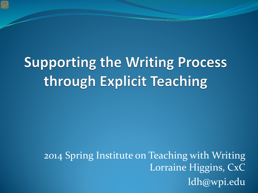## **Supporting the Writing Process** through Explicit Teaching

2014 Spring Institute on Teaching with Writing Lorraine Higgins, CxC ldh@wpi.edu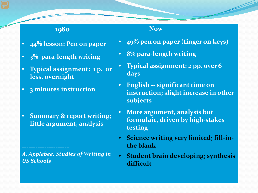### **Applebent in the US** and US and US are the US and US and US are the US and US are the US and US are the US and US are the US and US are the US and US are the US and US are the US and US are the US and US are the US and US

- **44% lesson: Pen on paper**
- **3% para-length writing**
- **Typical assignment: 1 p. or less, overnight**
- **3 minutes instruction**
- **Summary & report writing; little argument, analysis**

*A. Applebee, Studies of Writing in US Schools* 

**---------------------**

#### **Now**

- **49% pen on paper (finger on keys)**
- **8% para-length writing**
- **Typical assignment: 2 pp. over 6 days**
- **English -- significant time on instruction; slight increase in other subjects**
- **More argument, analysis but formulaic, driven by high-stakes testing**
- **Science writing very limited; fill-inthe blank**
- **Student brain developing; synthesis difficult**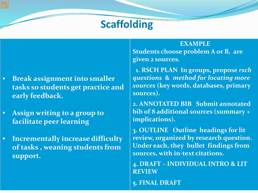#### **Scaffolding**

- **Break assignment into smaller tasks so students get practice and early feedback.**
- **Assign writing to a group to facilitate peer learning**
- **Incrementally increase difficulty of tasks , weaning students from support.**

#### **EXAMPLE**

**Students choose problem A or B, are given 2 sources.**

**1. RSCH PLAN In groups, propose** *rsch questions* **&** *method for locating more sources* **(key words, databases, primary sources).** 

**2. ANNOTATED BIB Submit annotated bib of 8 additional sources (summary + implications).**

**3. OUTLINE Outline headings for lit review, organized by research question. Under each, they bullet findings from sources, with in-text citations.**

**4. DRAFT – INDIVIDUAL INTRO & LIT REVIEW**

**5. FINAL DRAFT**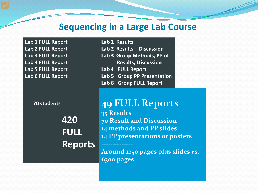#### **Sequencing in a Large Lab Course**

Lab 1 FULL Report Lab 2 FULL Report Lab 3 FULL Report Lab 4 FULL Report Lab 5 FULL Report Lab 6 FULL Report

70 students

420 **FULL Reports**  Lab 1 Results Lab 2 Results + Discussion Lab 3 Group Methods, PP of **Results, Discussion** Lab 4 FULL Report Lab 5 Group PP Presentation Lab 6 Group FULL Report

#### **49 FULL Reports**

**--------------**

**35 Results 70 Result and Discussion 14 methods and PP slides 14 PP presentations or posters**

**Around 1250 pages plus slides vs. 6300 pages**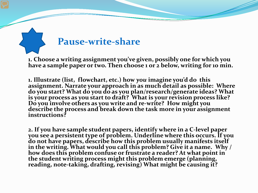#### **Pause-write-share**

**1. Choose a writing assignment you've given, possibly one for which you have a sample paper or two. Then choose 1 or 2 below, writing for 10 min.**

**1. Illustrate (list, flowchart, etc.) how** *you* **imagine you'd do this assignment. Narrate your approach in as much detail as possible: Where do you start? What do you do as you plan/research/generate ideas? What is your process as you start to draft? What is your revision process like? Do you involve others as you write and re-write? How might you describe the process and break down the task more in your assignment instructions?**

**2. If you have sample student papers, identify where in a C-level paper**  you see a persistent type of problem. Underline where this occurs. If you<br>do not have papers, describe how this problem usually manifests itself in the writing. What would you call this problem? Give it a name. Why /<br>how does this problem confuse or frustrate a reader? At what point in **the student writing process might this problem emerge (planning, reading, note-taking, drafting, revising) What might be causing it?**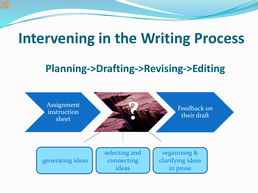## **Intervening in the Writing Process**

### **Planning->Drafting->Revising->Editing**

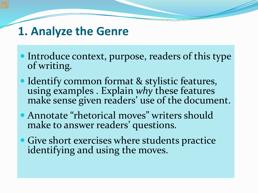### **1. Analyze the Genre**

- Introduce context, purpose, readers of this type of writing.
- Identify common format & stylistic features, using examples . Explain *why* these features make sense given readers' use of the document.
- Annotate "rhetorical moves" writers should make to answer readers' questions.
- Give short exercises where students practice identifying and using the moves.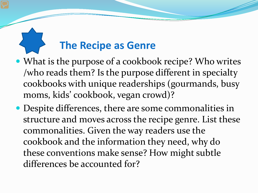### **The Recipe as Genre**

- What is the purpose of a cookbook recipe? Who writes /who reads them? Is the purpose different in specialty cookbooks with unique readerships (gourmands, busy moms, kids' cookbook, vegan crowd)?
- Despite differences, there are some commonalities in structure and moves across the recipe genre. List these commonalities. Given the way readers use the cookbook and the information they need, why do these conventions make sense? How might subtle differences be accounted for?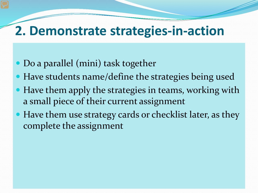## **2. Demonstrate strategies-in-action**

- Do a parallel (mini) task together
- Have students name/define the strategies being used
- Have them apply the strategies in teams, working with a small piece of their current assignment
- Have them use strategy cards or checklist later, as they complete the assignment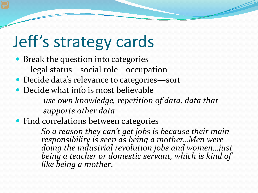# Jeff's strategy cards

- Break the question into categories legal status social role occupation
- Decide data's relevance to categories—sort
- Decide what info is most believable *use own knowledge, repetition of data, data that supports other data*
- Find correlations between categories

*So a reason they can't get jobs is because their main responsibility is seen as being a mother…Men were doing the industrial revolution jobs and women…just being a teacher or domestic servant, which is kind of like being a mother*.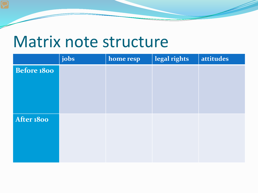## Matrix note structure

|             | jobs | home resp | legal rights | attitudes |
|-------------|------|-----------|--------------|-----------|
| Before 1800 |      |           |              |           |
|             |      |           |              |           |
|             |      |           |              |           |
|             |      |           |              |           |
| After 1800  |      |           |              |           |
|             |      |           |              |           |
|             |      |           |              |           |
|             |      |           |              |           |
|             |      |           |              |           |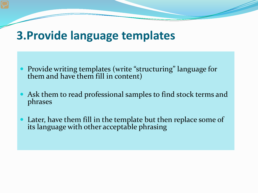### **3.Provide language templates**

- Provide writing templates (write "structuring" language for them and have them fill in content)
- Ask them to read professional samples to find stock terms and phrases
- Later, have them fill in the template but then replace some of its language with other acceptable phrasing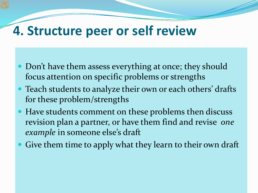## **4. Structure peer or self review**

- Don't have them assess everything at once; they should focus attention on specific problems or strengths
- Teach students to analyze their own or each others' drafts for these problem/strengths
- Have students comment on these problems then discuss revision plan a partner, or have them find and revise *one example* in someone else's draft
- Give them time to apply what they learn to their own draft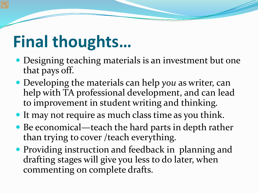# **Final thoughts…**

- Designing teaching materials is an investment but one that pays off.
- Developing the materials can help *you* as writer, can help with TA professional development, and can lead to improvement in student writing and thinking.
- It may not require as much class time as you think.
- Be economical—teach the hard parts in depth rather than trying to cover /teach everything.
- Providing instruction and feedback in planning and drafting stages will give you less to do later, when commenting on complete drafts.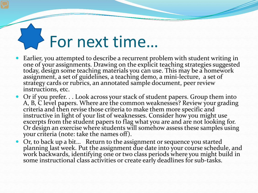# For next time…

- Earlier, you attempted to describe a recurrent problem with student writing in one of your assignments. Drawing on the explicit teaching strategies suggested today, design some teaching materials you can use. This may be a homework assignment, a set of guidelines, a teaching demo, a mini-lecture, a set of strategy cards or rubrics, an annotated sample document, peer review instructions, etc.
- Or if you prefer. . . Look across your stack of student papers. Group them into A, B, C level papers. Where are the common weaknesses? Review your grading criteria and then revise those criteria to make them more specific and instructive in light of your list of weaknesses. Consider how you might use excerpts from the student papers to flag what you are and are not looking for. Or design an exercise where students will somehow assess these samples using your criteria (note: take the names off).
- Or, to back up a bit… Return to the assignment or sequence you started planning last week. Put the assignment due date into your course schedule, and work backwards, identifying one or two class periods where you might build in some instructional class activities or create early deadlines for sub-tasks.